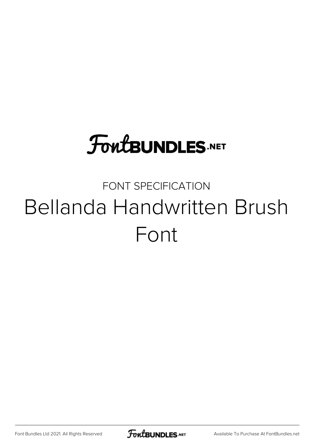## **FoutBUNDLES.NET**

## FONT SPECIFICATION Bellanda Handwritten Brush Font

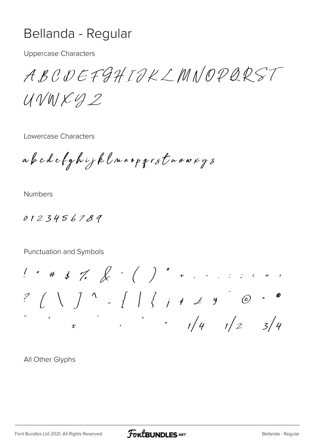## Bellanda - Regular

**Uppercase Characters** 

ABCDEFGHIOKLMNOPQRST  $UVMKUD$ 

Lowercase Characters

abedefghijklnnopgrstnoorg3

**Numbers** 

0123456789

Punctuation and Symbols

 $\frac{1}{2}$  .  $\frac{1}{4}$   $\frac{1}{2}$   $\frac{3}{4}$ 

All Other Glyphs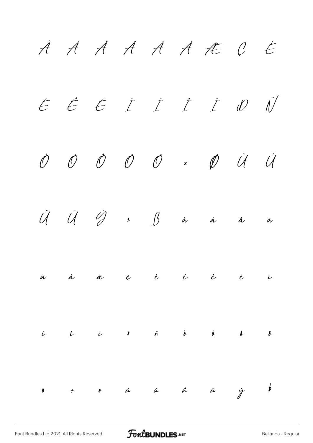